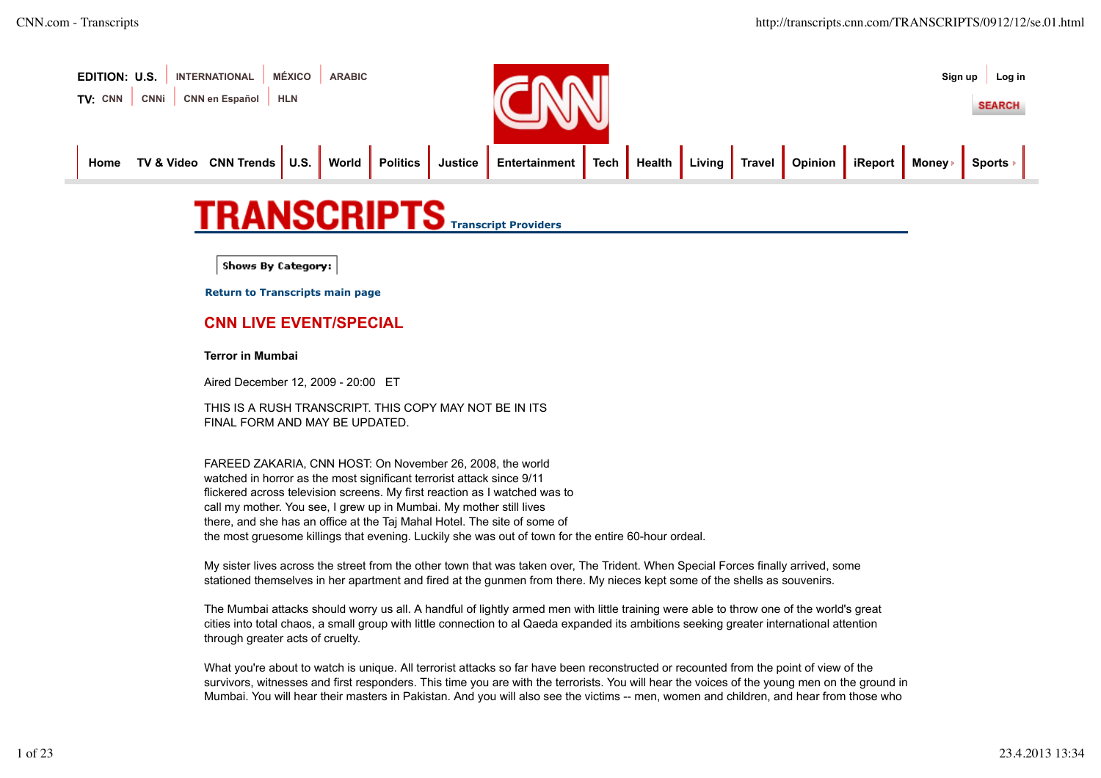

# **TRANSCRIP1 Transcript Providers**

Shows By Category:

**Return to Transcripts main page**

# **CNN LIVE EVENT/SPECIAL**

#### **Terror in Mumbai**

Aired December 12, 2009 - 20:00 ET

THIS IS A RUSH TRANSCRIPT. THIS COPY MAY NOT BE IN ITS FINAL FORM AND MAY BE UPDATED.

FAREED ZAKARIA, CNN HOST: On November 26, 2008, the world watched in horror as the most significant terrorist attack since 9/11 flickered across television screens. My first reaction as I watched was to call my mother. You see, I grew up in Mumbai. My mother still lives there, and she has an office at the Taj Mahal Hotel. The site of some of the most gruesome killings that evening. Luckily she was out of town for the entire 60-hour ordeal.

My sister lives across the street from the other town that was taken over, The Trident. When Special Forces finally arrived, some stationed themselves in her apartment and fired at the gunmen from there. My nieces kept some of the shells as souvenirs.

The Mumbai attacks should worry us all. A handful of lightly armed men with little training were able to throw one of the world's great cities into total chaos, a small group with little connection to al Qaeda expanded its ambitions seeking greater international attention through greater acts of cruelty.

What you're about to watch is unique. All terrorist attacks so far have been reconstructed or recounted from the point of view of the survivors, witnesses and first responders. This time you are with the terrorists. You will hear the voices of the young men on the ground in Mumbai. You will hear their masters in Pakistan. And you will also see the victims -- men, women and children, and hear from those who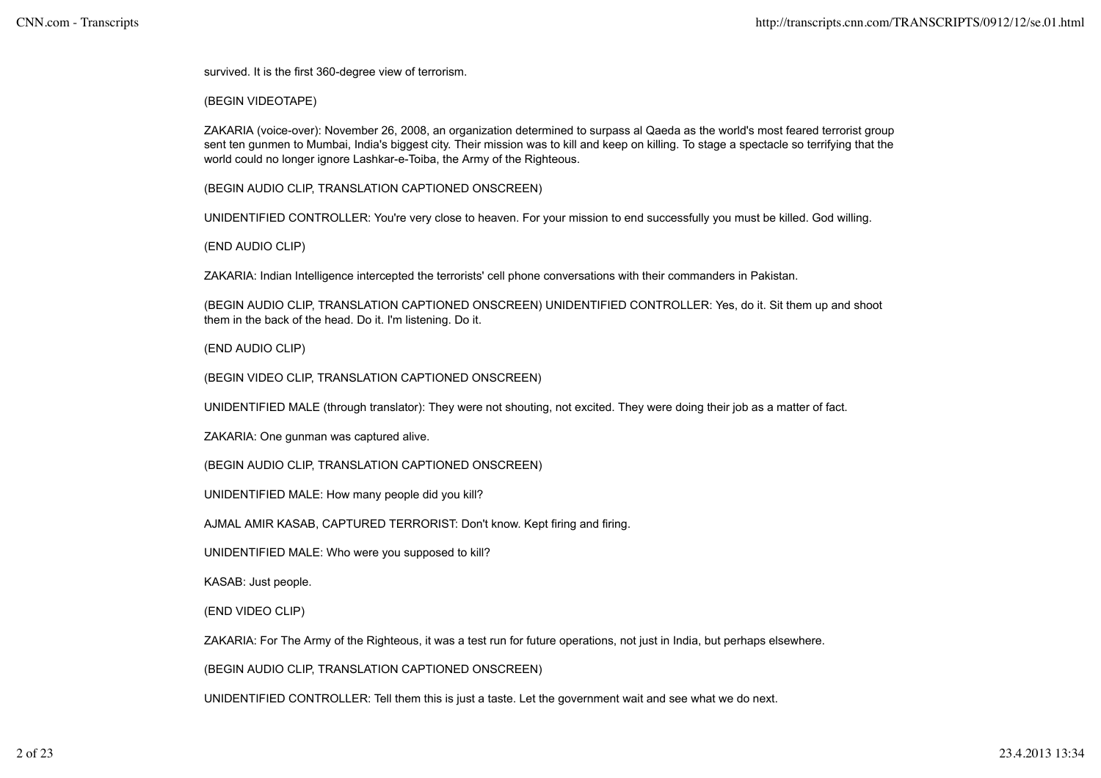survived. It is the first 360-degree view of terrorism.

(BEGIN VIDEOTAPE)

ZAKARIA (voice-over): November 26, 2008, an organization determined to surpass al Qaeda as the world's most feared terrorist group sent ten gunmen to Mumbai, India's biggest city. Their mission was to kill and keep on killing. To stage a spectacle so terrifying that the world could no longer ignore Lashkar-e-Toiba, the Army of the Righteous.

(BEGIN AUDIO CLIP, TRANSLATION CAPTIONED ONSCREEN)

UNIDENTIFIED CONTROLLER: You're very close to heaven. For your mission to end successfully you must be killed. God willing.

(END AUDIO CLIP)

ZAKARIA: Indian Intelligence intercepted the terrorists' cell phone conversations with their commanders in Pakistan.

(BEGIN AUDIO CLIP, TRANSLATION CAPTIONED ONSCREEN) UNIDENTIFIED CONTROLLER: Yes, do it. Sit them up and shoot them in the back of the head. Do it. I'm listening. Do it.

(END AUDIO CLIP)

(BEGIN VIDEO CLIP, TRANSLATION CAPTIONED ONSCREEN)

UNIDENTIFIED MALE (through translator): They were not shouting, not excited. They were doing their job as a matter of fact.

ZAKARIA: One gunman was captured alive.

(BEGIN AUDIO CLIP, TRANSLATION CAPTIONED ONSCREEN)

UNIDENTIFIED MALE: How many people did you kill?

AJMAL AMIR KASAB, CAPTURED TERRORIST: Don't know. Kept firing and firing.

UNIDENTIFIED MALE: Who were you supposed to kill?

KASAB: Just people.

(END VIDEO CLIP)

ZAKARIA: For The Army of the Righteous, it was a test run for future operations, not just in India, but perhaps elsewhere.

(BEGIN AUDIO CLIP, TRANSLATION CAPTIONED ONSCREEN)

UNIDENTIFIED CONTROLLER: Tell them this is just a taste. Let the government wait and see what we do next.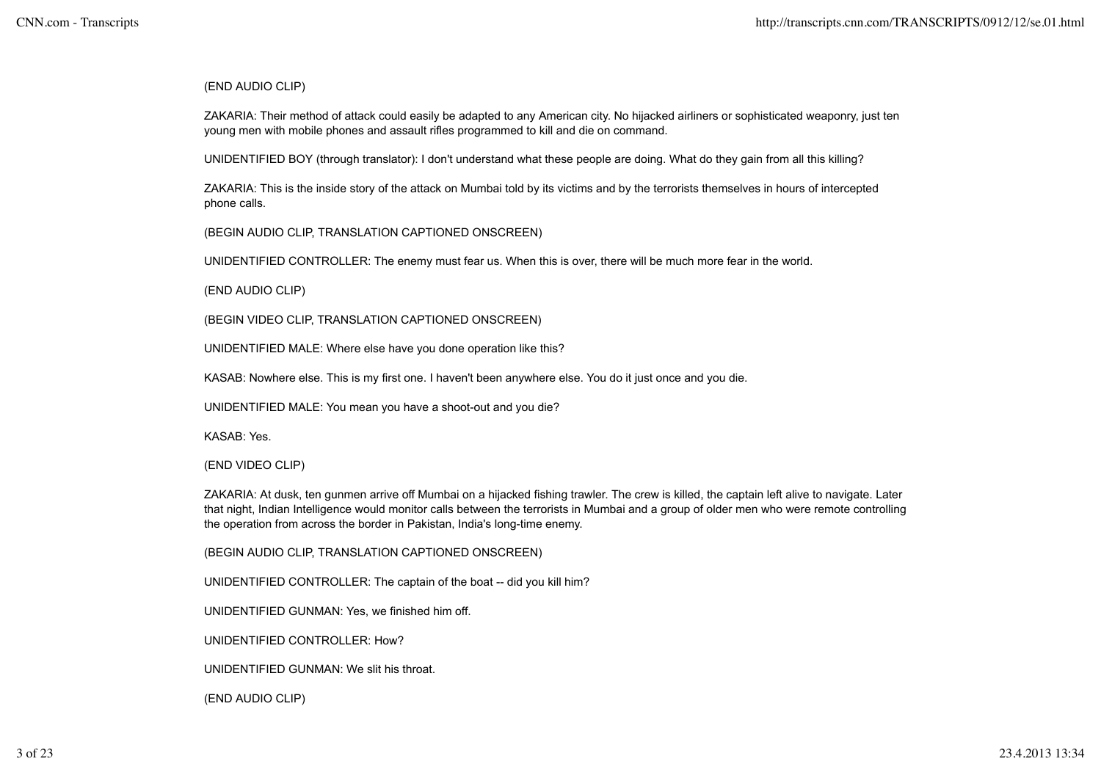### (END AUDIO CLIP)

ZAKARIA: Their method of attack could easily be adapted to any American city. No hijacked airliners or sophisticated weaponry, just ten young men with mobile phones and assault rifles programmed to kill and die on command.

UNIDENTIFIED BOY (through translator): I don't understand what these people are doing. What do they gain from all this killing?

ZAKARIA: This is the inside story of the attack on Mumbai told by its victims and by the terrorists themselves in hours of intercepted phone calls.

(BEGIN AUDIO CLIP, TRANSLATION CAPTIONED ONSCREEN)

UNIDENTIFIED CONTROLLER: The enemy must fear us. When this is over, there will be much more fear in the world.

(END AUDIO CLIP)

(BEGIN VIDEO CLIP, TRANSLATION CAPTIONED ONSCREEN)

UNIDENTIFIED MALE: Where else have you done operation like this?

KASAB: Nowhere else. This is my first one. I haven't been anywhere else. You do it just once and you die.

UNIDENTIFIED MALE: You mean you have a shoot-out and you die?

KASAB: Yes.

(END VIDEO CLIP)

ZAKARIA: At dusk, ten gunmen arrive off Mumbai on a hijacked fishing trawler. The crew is killed, the captain left alive to navigate. Later that night, Indian Intelligence would monitor calls between the terrorists in Mumbai and a group of older men who were remote controlling the operation from across the border in Pakistan, India's long-time enemy.

(BEGIN AUDIO CLIP, TRANSLATION CAPTIONED ONSCREEN)

UNIDENTIFIED CONTROLLER: The captain of the boat -- did you kill him?

UNIDENTIFIED GUNMAN: Yes, we finished him off.

UNIDENTIFIED CONTROLLER: How?

UNIDENTIFIED GUNMAN: We slit his throat.

(END AUDIO CLIP)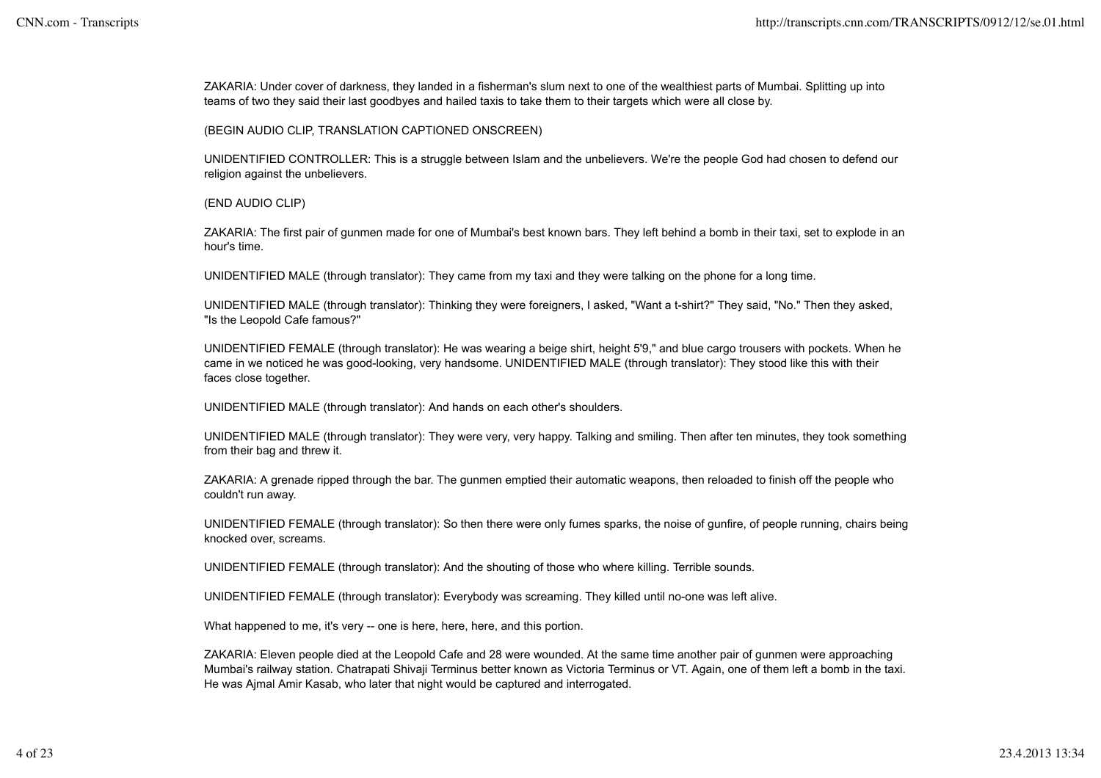ZAKARIA: Under cover of darkness, they landed in a fisherman's slum next to one of the wealthiest parts of Mumbai. Splitting up into teams of two they said their last goodbyes and hailed taxis to take them to their targets which were all close by.

(BEGIN AUDIO CLIP, TRANSLATION CAPTIONED ONSCREEN)

UNIDENTIFIED CONTROLLER: This is a struggle between Islam and the unbelievers. We're the people God had chosen to defend our religion against the unbelievers.

(END AUDIO CLIP)

ZAKARIA: The first pair of gunmen made for one of Mumbai's best known bars. They left behind a bomb in their taxi, set to explode in an hour's time.

UNIDENTIFIED MALE (through translator): They came from my taxi and they were talking on the phone for a long time.

UNIDENTIFIED MALE (through translator): Thinking they were foreigners, I asked, "Want a t-shirt?" They said, "No." Then they asked, "Is the Leopold Cafe famous?"

UNIDENTIFIED FEMALE (through translator): He was wearing a beige shirt, height 5'9," and blue cargo trousers with pockets. When he came in we noticed he was good-looking, very handsome. UNIDENTIFIED MALE (through translator): They stood like this with their faces close together.

UNIDENTIFIED MALE (through translator): And hands on each other's shoulders.

UNIDENTIFIED MALE (through translator): They were very, very happy. Talking and smiling. Then after ten minutes, they took something from their bag and threw it.

ZAKARIA: A grenade ripped through the bar. The gunmen emptied their automatic weapons, then reloaded to finish off the people who couldn't run away.

UNIDENTIFIED FEMALE (through translator): So then there were only fumes sparks, the noise of gunfire, of people running, chairs being knocked over, screams.

UNIDENTIFIED FEMALE (through translator): And the shouting of those who where killing. Terrible sounds.

UNIDENTIFIED FEMALE (through translator): Everybody was screaming. They killed until no-one was left alive.

What happened to me, it's very -- one is here, here, here, and this portion.

ZAKARIA: Eleven people died at the Leopold Cafe and 28 were wounded. At the same time another pair of gunmen were approaching Mumbai's railway station. Chatrapati Shivaji Terminus better known as Victoria Terminus or VT. Again, one of them left a bomb in the taxi. He was Ajmal Amir Kasab, who later that night would be captured and interrogated.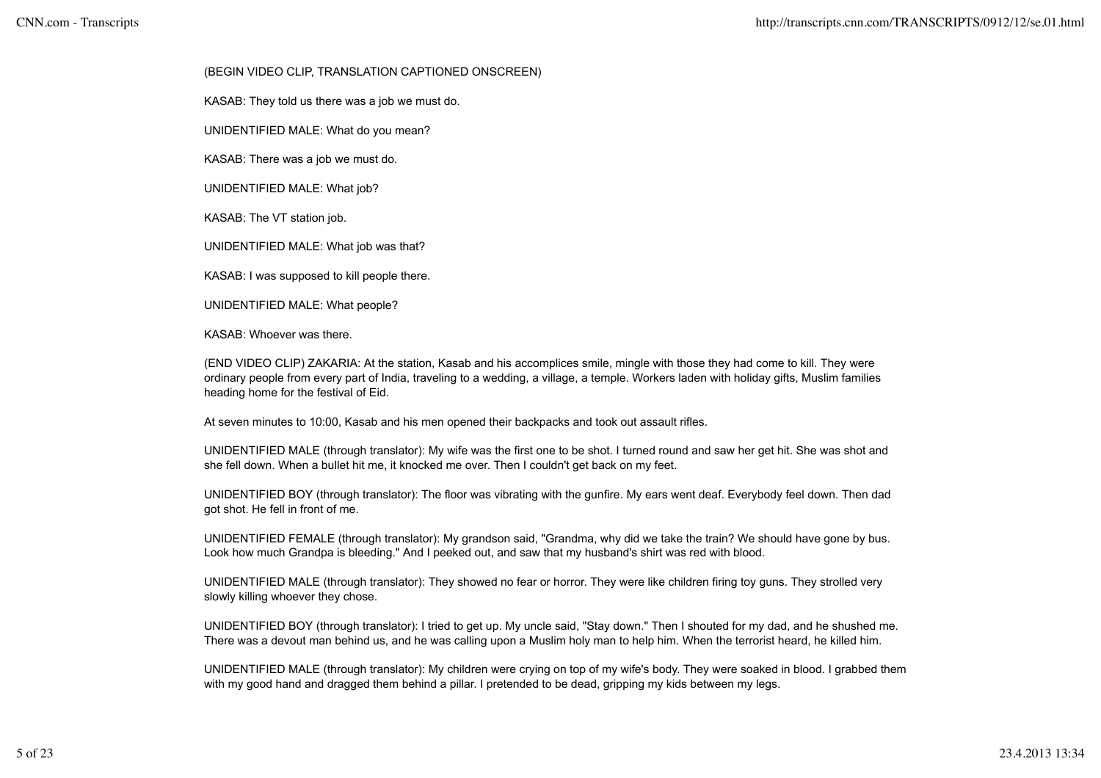#### (BEGIN VIDEO CLIP, TRANSLATION CAPTIONED ONSCREEN)

KASAB: They told us there was a job we must do.

UNIDENTIFIED MALE: What do you mean?

KASAB: There was a job we must do.

UNIDENTIFIED MALE: What job?

KASAB: The VT station job.

UNIDENTIFIED MALE: What job was that?

KASAB: I was supposed to kill people there.

UNIDENTIFIED MALE: What people?

KASAB: Whoever was there.

(END VIDEO CLIP) ZAKARIA: At the station, Kasab and his accomplices smile, mingle with those they had come to kill. They were ordinary people from every part of India, traveling to a wedding, a village, a temple. Workers laden with holiday gifts, Muslim families heading home for the festival of Eid.

At seven minutes to 10:00, Kasab and his men opened their backpacks and took out assault rifles.

UNIDENTIFIED MALE (through translator): My wife was the first one to be shot. I turned round and saw her get hit. She was shot and she fell down. When a bullet hit me, it knocked me over. Then I couldn't get back on my feet.

UNIDENTIFIED BOY (through translator): The floor was vibrating with the gunfire. My ears went deaf. Everybody feel down. Then dad got shot. He fell in front of me.

UNIDENTIFIED FEMALE (through translator): My grandson said, "Grandma, why did we take the train? We should have gone by bus. Look how much Grandpa is bleeding." And I peeked out, and saw that my husband's shirt was red with blood.

UNIDENTIFIED MALE (through translator): They showed no fear or horror. They were like children firing toy guns. They strolled very slowly killing whoever they chose.

UNIDENTIFIED BOY (through translator): I tried to get up. My uncle said, "Stay down." Then I shouted for my dad, and he shushed me. There was a devout man behind us, and he was calling upon a Muslim holy man to help him. When the terrorist heard, he killed him.

UNIDENTIFIED MALE (through translator): My children were crying on top of my wife's body. They were soaked in blood. I grabbed them with my good hand and dragged them behind a pillar. I pretended to be dead, gripping my kids between my legs.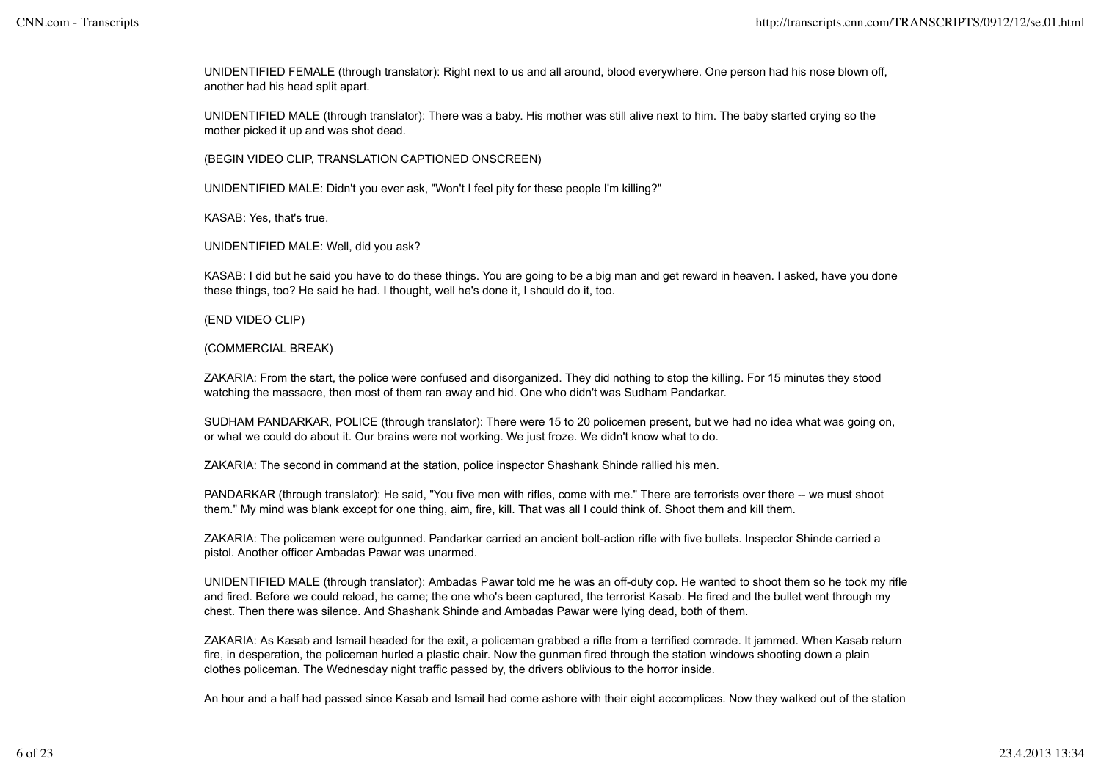UNIDENTIFIED FEMALE (through translator): Right next to us and all around, blood everywhere. One person had his nose blown off, another had his head split apart.

UNIDENTIFIED MALE (through translator): There was a baby. His mother was still alive next to him. The baby started crying so the mother picked it up and was shot dead.

(BEGIN VIDEO CLIP, TRANSLATION CAPTIONED ONSCREEN)

UNIDENTIFIED MALE: Didn't you ever ask, "Won't I feel pity for these people I'm killing?"

KASAB: Yes, that's true.

UNIDENTIFIED MALE: Well, did you ask?

KASAB: I did but he said you have to do these things. You are going to be a big man and get reward in heaven. I asked, have you done these things, too? He said he had. I thought, well he's done it, I should do it, too.

(END VIDEO CLIP)

(COMMERCIAL BREAK)

ZAKARIA: From the start, the police were confused and disorganized. They did nothing to stop the killing. For 15 minutes they stood watching the massacre, then most of them ran away and hid. One who didn't was Sudham Pandarkar.

SUDHAM PANDARKAR, POLICE (through translator): There were 15 to 20 policemen present, but we had no idea what was going on, or what we could do about it. Our brains were not working. We just froze. We didn't know what to do.

ZAKARIA: The second in command at the station, police inspector Shashank Shinde rallied his men.

PANDARKAR (through translator): He said, "You five men with rifles, come with me." There are terrorists over there -- we must shoot them." My mind was blank except for one thing, aim, fire, kill. That was all I could think of. Shoot them and kill them.

ZAKARIA: The policemen were outgunned. Pandarkar carried an ancient bolt-action rifle with five bullets. Inspector Shinde carried a pistol. Another officer Ambadas Pawar was unarmed.

UNIDENTIFIED MALE (through translator): Ambadas Pawar told me he was an off-duty cop. He wanted to shoot them so he took my rifle and fired. Before we could reload, he came; the one who's been captured, the terrorist Kasab. He fired and the bullet went through my chest. Then there was silence. And Shashank Shinde and Ambadas Pawar were lying dead, both of them.

ZAKARIA: As Kasab and Ismail headed for the exit, a policeman grabbed a rifle from a terrified comrade. It jammed. When Kasab return fire, in desperation, the policeman hurled a plastic chair. Now the gunman fired through the station windows shooting down a plain clothes policeman. The Wednesday night traffic passed by, the drivers oblivious to the horror inside.

An hour and a half had passed since Kasab and Ismail had come ashore with their eight accomplices. Now they walked out of the station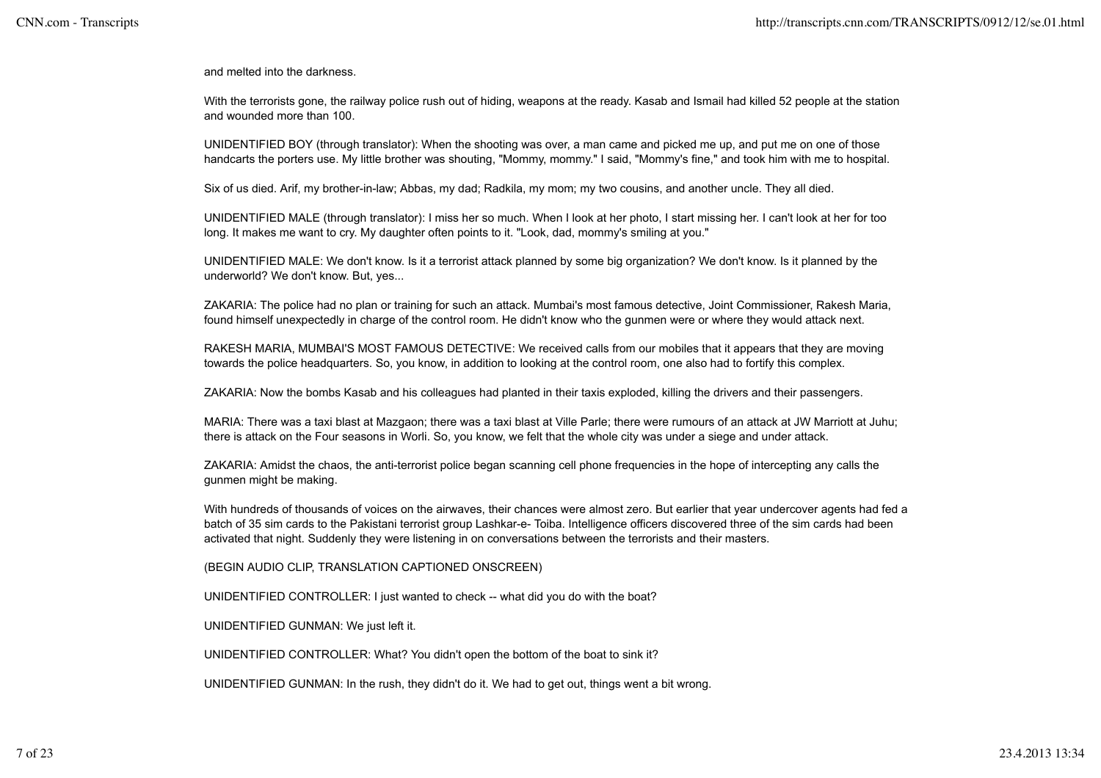and melted into the darkness.

With the terrorists gone, the railway police rush out of hiding, weapons at the ready. Kasab and Ismail had killed 52 people at the station and wounded more than 100.

UNIDENTIFIED BOY (through translator): When the shooting was over, a man came and picked me up, and put me on one of those handcarts the porters use. My little brother was shouting, "Mommy, mommy." I said, "Mommy's fine," and took him with me to hospital.

Six of us died. Arif, my brother-in-law; Abbas, my dad; Radkila, my mom; my two cousins, and another uncle. They all died.

UNIDENTIFIED MALE (through translator): I miss her so much. When I look at her photo, I start missing her. I can't look at her for too long. It makes me want to cry. My daughter often points to it. "Look, dad, mommy's smiling at you."

UNIDENTIFIED MALE: We don't know. Is it a terrorist attack planned by some big organization? We don't know. Is it planned by the underworld? We don't know. But, yes...

ZAKARIA: The police had no plan or training for such an attack. Mumbai's most famous detective, Joint Commissioner, Rakesh Maria, found himself unexpectedly in charge of the control room. He didn't know who the gunmen were or where they would attack next.

RAKESH MARIA, MUMBAI'S MOST FAMOUS DETECTIVE: We received calls from our mobiles that it appears that they are moving towards the police headquarters. So, you know, in addition to looking at the control room, one also had to fortify this complex.

ZAKARIA: Now the bombs Kasab and his colleagues had planted in their taxis exploded, killing the drivers and their passengers.

MARIA: There was a taxi blast at Mazgaon; there was a taxi blast at Ville Parle; there were rumours of an attack at JW Marriott at Juhu; there is attack on the Four seasons in Worli. So, you know, we felt that the whole city was under a siege and under attack.

ZAKARIA: Amidst the chaos, the anti-terrorist police began scanning cell phone frequencies in the hope of intercepting any calls the gunmen might be making.

With hundreds of thousands of voices on the airwaves, their chances were almost zero. But earlier that year undercover agents had fed a batch of 35 sim cards to the Pakistani terrorist group Lashkar-e- Toiba. Intelligence officers discovered three of the sim cards had been activated that night. Suddenly they were listening in on conversations between the terrorists and their masters.

(BEGIN AUDIO CLIP, TRANSLATION CAPTIONED ONSCREEN)

UNIDENTIFIED CONTROLLER: I just wanted to check -- what did you do with the boat?

UNIDENTIFIED GUNMAN: We just left it.

UNIDENTIFIED CONTROLLER: What? You didn't open the bottom of the boat to sink it?

UNIDENTIFIED GUNMAN: In the rush, they didn't do it. We had to get out, things went a bit wrong.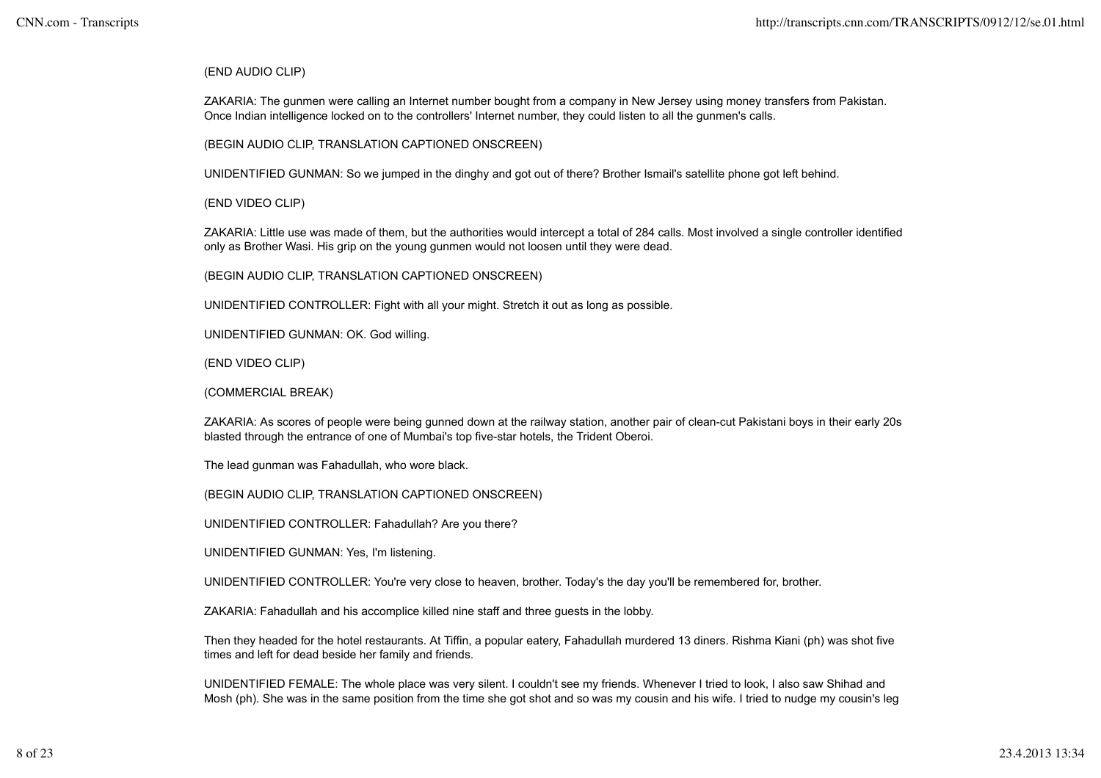## (END AUDIO CLIP)

ZAKARIA: The gunmen were calling an Internet number bought from a company in New Jersey using money transfers from Pakistan. Once Indian intelligence locked on to the controllers' Internet number, they could listen to all the gunmen's calls.

(BEGIN AUDIO CLIP, TRANSLATION CAPTIONED ONSCREEN)

UNIDENTIFIED GUNMAN: So we jumped in the dinghy and got out of there? Brother Ismail's satellite phone got left behind.

(END VIDEO CLIP)

ZAKARIA: Little use was made of them, but the authorities would intercept a total of 284 calls. Most involved a single controller identified only as Brother Wasi. His grip on the young gunmen would not loosen until they were dead.

(BEGIN AUDIO CLIP, TRANSLATION CAPTIONED ONSCREEN)

UNIDENTIFIED CONTROLLER: Fight with all your might. Stretch it out as long as possible.

UNIDENTIFIED GUNMAN: OK. God willing.

(END VIDEO CLIP)

(COMMERCIAL BREAK)

ZAKARIA: As scores of people were being gunned down at the railway station, another pair of clean-cut Pakistani boys in their early 20s blasted through the entrance of one of Mumbai's top five-star hotels, the Trident Oberoi.

The lead gunman was Fahadullah, who wore black.

(BEGIN AUDIO CLIP, TRANSLATION CAPTIONED ONSCREEN)

UNIDENTIFIED CONTROLLER: Fahadullah? Are you there?

UNIDENTIFIED GUNMAN: Yes, I'm listening.

UNIDENTIFIED CONTROLLER: You're very close to heaven, brother. Today's the day you'll be remembered for, brother.

ZAKARIA: Fahadullah and his accomplice killed nine staff and three guests in the lobby.

Then they headed for the hotel restaurants. At Tiffin, a popular eatery, Fahadullah murdered 13 diners. Rishma Kiani (ph) was shot five times and left for dead beside her family and friends.

UNIDENTIFIED FEMALE: The whole place was very silent. I couldn't see my friends. Whenever I tried to look, I also saw Shihad and Mosh (ph). She was in the same position from the time she got shot and so was my cousin and his wife. I tried to nudge my cousin's leg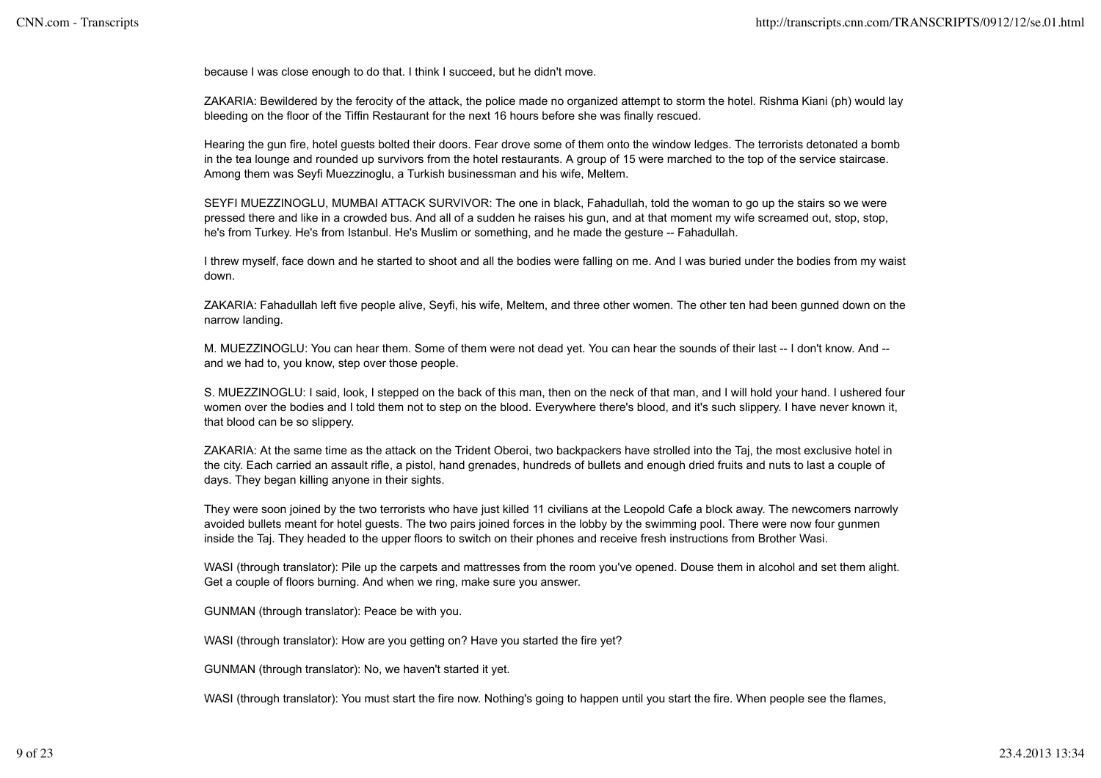because I was close enough to do that. I think I succeed, but he didn't move.

ZAKARIA: Bewildered by the ferocity of the attack, the police made no organized attempt to storm the hotel. Rishma Kiani (ph) would lay bleeding on the floor of the Tiffin Restaurant for the next 16 hours before she was finally rescued.

Hearing the gun fire, hotel guests bolted their doors. Fear drove some of them onto the window ledges. The terrorists detonated a bomb in the tea lounge and rounded up survivors from the hotel restaurants. A group of 15 were marched to the top of the service staircase. Among them was Seyfi Muezzinoglu, a Turkish businessman and his wife, Meltem.

SEYFI MUEZZINOGLU, MUMBAI ATTACK SURVIVOR: The one in black, Fahadullah, told the woman to go up the stairs so we were pressed there and like in a crowded bus. And all of a sudden he raises his gun, and at that moment my wife screamed out, stop, stop, he's from Turkey. He's from Istanbul. He's Muslim or something, and he made the gesture -- Fahadullah.

I threw myself, face down and he started to shoot and all the bodies were falling on me. And I was buried under the bodies from my waist down.

ZAKARIA: Fahadullah left five people alive, Seyfi, his wife, Meltem, and three other women. The other ten had been gunned down on the narrow landing.

M. MUEZZINOGLU: You can hear them. Some of them were not dead yet. You can hear the sounds of their last -- I don't know. And -and we had to, you know, step over those people.

S. MUEZZINOGLU: I said, look, I stepped on the back of this man, then on the neck of that man, and I will hold your hand. I ushered four women over the bodies and I told them not to step on the blood. Everywhere there's blood, and it's such slippery. I have never known it, that blood can be so slippery.

ZAKARIA: At the same time as the attack on the Trident Oberoi, two backpackers have strolled into the Taj, the most exclusive hotel in the city. Each carried an assault rifle, a pistol, hand grenades, hundreds of bullets and enough dried fruits and nuts to last a couple of days. They began killing anyone in their sights.

They were soon joined by the two terrorists who have just killed 11 civilians at the Leopold Cafe a block away. The newcomers narrowly avoided bullets meant for hotel guests. The two pairs joined forces in the lobby by the swimming pool. There were now four gunmen inside the Taj. They headed to the upper floors to switch on their phones and receive fresh instructions from Brother Wasi.

WASI (through translator): Pile up the carpets and mattresses from the room you've opened. Douse them in alcohol and set them alight. Get a couple of floors burning. And when we ring, make sure you answer.

GUNMAN (through translator): Peace be with you.

WASI (through translator): How are you getting on? Have you started the fire yet?

GUNMAN (through translator): No, we haven't started it yet.

WASI (through translator): You must start the fire now. Nothing's going to happen until you start the fire. When people see the flames,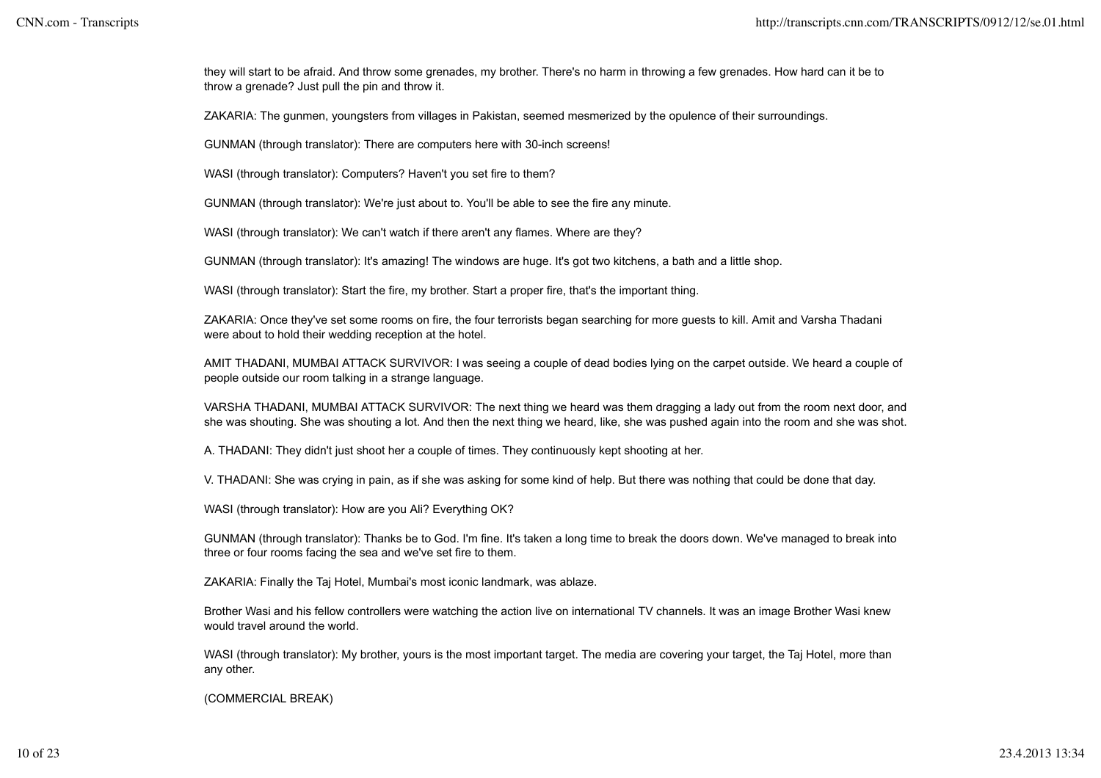they will start to be afraid. And throw some grenades, my brother. There's no harm in throwing a few grenades. How hard can it be to throw a grenade? Just pull the pin and throw it.

ZAKARIA: The gunmen, youngsters from villages in Pakistan, seemed mesmerized by the opulence of their surroundings.

GUNMAN (through translator): There are computers here with 30-inch screens!

WASI (through translator): Computers? Haven't you set fire to them?

GUNMAN (through translator): We're just about to. You'll be able to see the fire any minute.

WASI (through translator): We can't watch if there aren't any flames. Where are they?

GUNMAN (through translator): It's amazing! The windows are huge. It's got two kitchens, a bath and a little shop.

WASI (through translator): Start the fire, my brother. Start a proper fire, that's the important thing.

ZAKARIA: Once they've set some rooms on fire, the four terrorists began searching for more guests to kill. Amit and Varsha Thadani were about to hold their wedding reception at the hotel.

AMIT THADANI, MUMBAI ATTACK SURVIVOR: I was seeing a couple of dead bodies lying on the carpet outside. We heard a couple of people outside our room talking in a strange language.

VARSHA THADANI, MUMBAI ATTACK SURVIVOR: The next thing we heard was them dragging a lady out from the room next door, and she was shouting. She was shouting a lot. And then the next thing we heard, like, she was pushed again into the room and she was shot.

A. THADANI: They didn't just shoot her a couple of times. They continuously kept shooting at her.

V. THADANI: She was crying in pain, as if she was asking for some kind of help. But there was nothing that could be done that day.

WASI (through translator): How are you Ali? Everything OK?

GUNMAN (through translator): Thanks be to God. I'm fine. It's taken a long time to break the doors down. We've managed to break into three or four rooms facing the sea and we've set fire to them.

ZAKARIA: Finally the Taj Hotel, Mumbai's most iconic landmark, was ablaze.

Brother Wasi and his fellow controllers were watching the action live on international TV channels. It was an image Brother Wasi knew would travel around the world.

WASI (through translator): My brother, yours is the most important target. The media are covering your target, the Taj Hotel, more than any other.

(COMMERCIAL BREAK)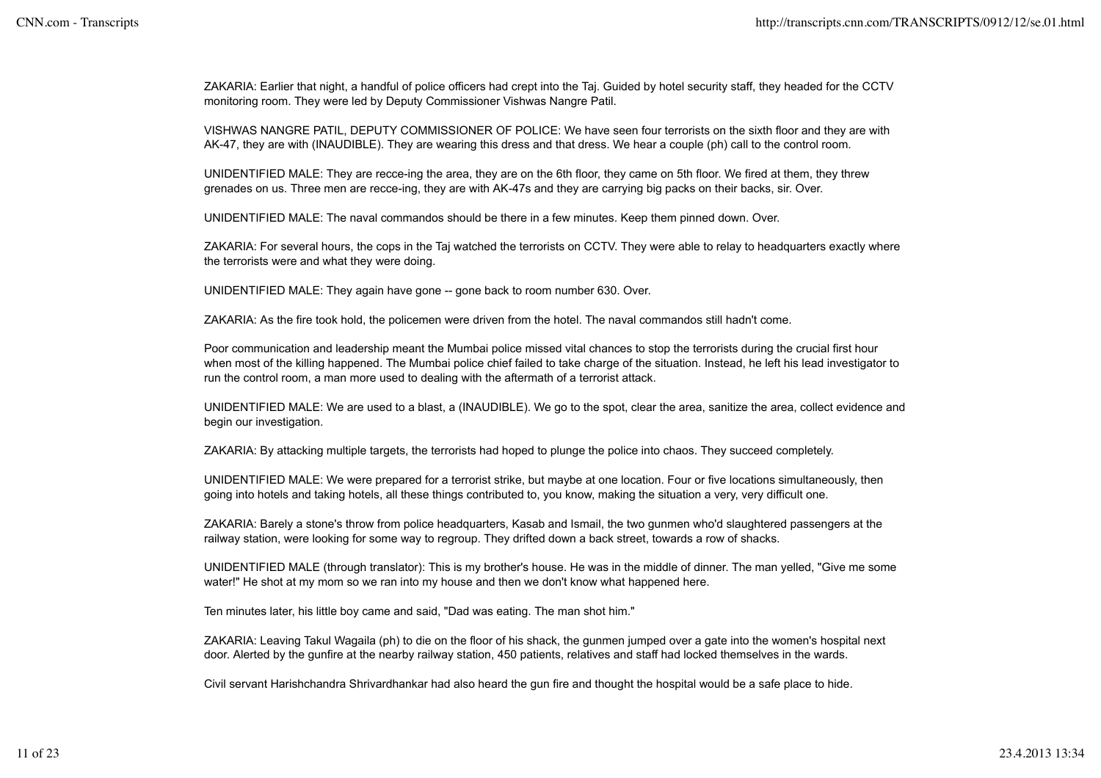ZAKARIA: Earlier that night, a handful of police officers had crept into the Taj. Guided by hotel security staff, they headed for the CCTV monitoring room. They were led by Deputy Commissioner Vishwas Nangre Patil.

VISHWAS NANGRE PATIL, DEPUTY COMMISSIONER OF POLICE: We have seen four terrorists on the sixth floor and they are with AK-47, they are with (INAUDIBLE). They are wearing this dress and that dress. We hear a couple (ph) call to the control room.

UNIDENTIFIED MALE: They are recce-ing the area, they are on the 6th floor, they came on 5th floor. We fired at them, they threw grenades on us. Three men are recce-ing, they are with AK-47s and they are carrying big packs on their backs, sir. Over.

UNIDENTIFIED MALE: The naval commandos should be there in a few minutes. Keep them pinned down. Over.

ZAKARIA: For several hours, the cops in the Taj watched the terrorists on CCTV. They were able to relay to headquarters exactly where the terrorists were and what they were doing.

UNIDENTIFIED MALE: They again have gone -- gone back to room number 630. Over.

ZAKARIA: As the fire took hold, the policemen were driven from the hotel. The naval commandos still hadn't come.

Poor communication and leadership meant the Mumbai police missed vital chances to stop the terrorists during the crucial first hour when most of the killing happened. The Mumbai police chief failed to take charge of the situation. Instead, he left his lead investigator to run the control room, a man more used to dealing with the aftermath of a terrorist attack.

UNIDENTIFIED MALE: We are used to a blast, a (INAUDIBLE). We go to the spot, clear the area, sanitize the area, collect evidence and begin our investigation.

ZAKARIA: By attacking multiple targets, the terrorists had hoped to plunge the police into chaos. They succeed completely.

UNIDENTIFIED MALE: We were prepared for a terrorist strike, but maybe at one location. Four or five locations simultaneously, then going into hotels and taking hotels, all these things contributed to, you know, making the situation a very, very difficult one.

ZAKARIA: Barely a stone's throw from police headquarters, Kasab and Ismail, the two gunmen who'd slaughtered passengers at the railway station, were looking for some way to regroup. They drifted down a back street, towards a row of shacks.

UNIDENTIFIED MALE (through translator): This is my brother's house. He was in the middle of dinner. The man yelled, "Give me some water!" He shot at my mom so we ran into my house and then we don't know what happened here.

Ten minutes later, his little boy came and said, "Dad was eating. The man shot him."

ZAKARIA: Leaving Takul Wagaila (ph) to die on the floor of his shack, the gunmen jumped over a gate into the women's hospital next door. Alerted by the gunfire at the nearby railway station, 450 patients, relatives and staff had locked themselves in the wards.

Civil servant Harishchandra Shrivardhankar had also heard the gun fire and thought the hospital would be a safe place to hide.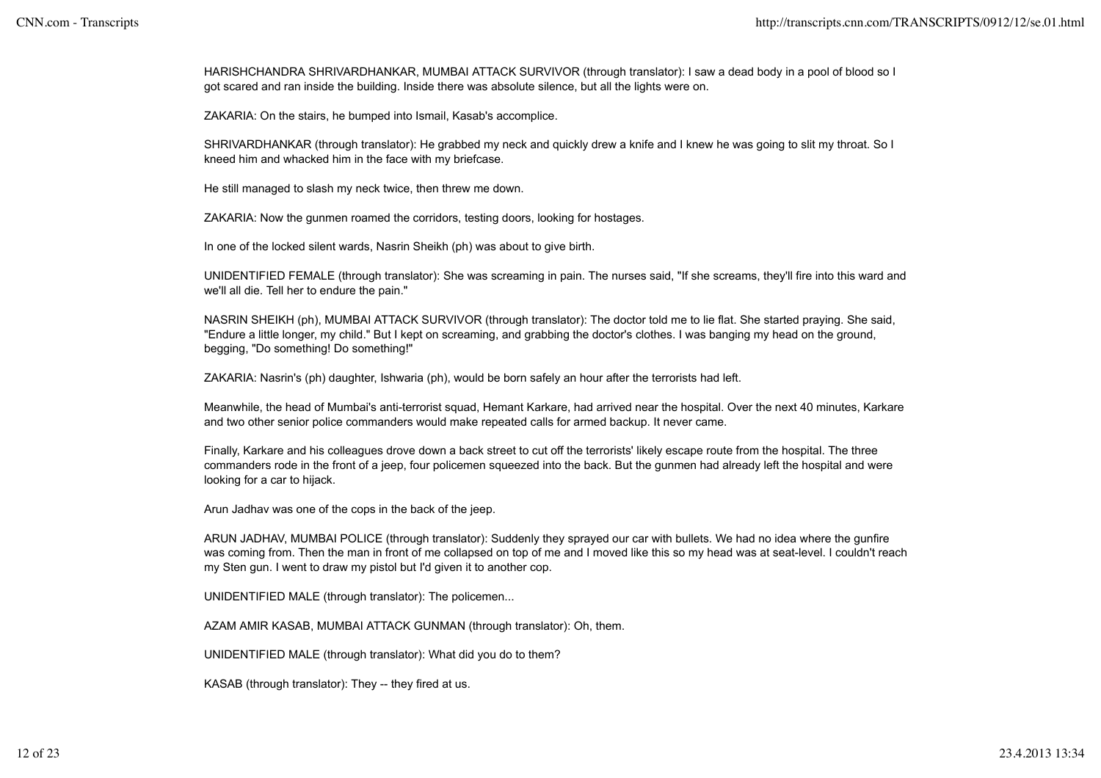HARISHCHANDRA SHRIVARDHANKAR, MUMBAI ATTACK SURVIVOR (through translator): I saw a dead body in a pool of blood so I got scared and ran inside the building. Inside there was absolute silence, but all the lights were on.

ZAKARIA: On the stairs, he bumped into Ismail, Kasab's accomplice.

SHRIVARDHANKAR (through translator): He grabbed my neck and quickly drew a knife and I knew he was going to slit my throat. So I kneed him and whacked him in the face with my briefcase.

He still managed to slash my neck twice, then threw me down.

ZAKARIA: Now the gunmen roamed the corridors, testing doors, looking for hostages.

In one of the locked silent wards, Nasrin Sheikh (ph) was about to give birth.

UNIDENTIFIED FEMALE (through translator): She was screaming in pain. The nurses said, "If she screams, they'll fire into this ward and we'll all die. Tell her to endure the pain."

NASRIN SHEIKH (ph), MUMBAI ATTACK SURVIVOR (through translator): The doctor told me to lie flat. She started praying. She said, "Endure a little longer, my child." But I kept on screaming, and grabbing the doctor's clothes. I was banging my head on the ground, begging, "Do something! Do something!"

ZAKARIA: Nasrin's (ph) daughter, Ishwaria (ph), would be born safely an hour after the terrorists had left.

Meanwhile, the head of Mumbai's anti-terrorist squad, Hemant Karkare, had arrived near the hospital. Over the next 40 minutes, Karkare and two other senior police commanders would make repeated calls for armed backup. It never came.

Finally, Karkare and his colleagues drove down a back street to cut off the terrorists' likely escape route from the hospital. The three commanders rode in the front of a jeep, four policemen squeezed into the back. But the gunmen had already left the hospital and were looking for a car to hijack.

Arun Jadhav was one of the cops in the back of the jeep.

ARUN JADHAV, MUMBAI POLICE (through translator): Suddenly they sprayed our car with bullets. We had no idea where the gunfire was coming from. Then the man in front of me collapsed on top of me and I moved like this so my head was at seat-level. I couldn't reach my Sten gun. I went to draw my pistol but I'd given it to another cop.

UNIDENTIFIED MALE (through translator): The policemen...

AZAM AMIR KASAB, MUMBAI ATTACK GUNMAN (through translator): Oh, them.

UNIDENTIFIED MALE (through translator): What did you do to them?

KASAB (through translator): They -- they fired at us.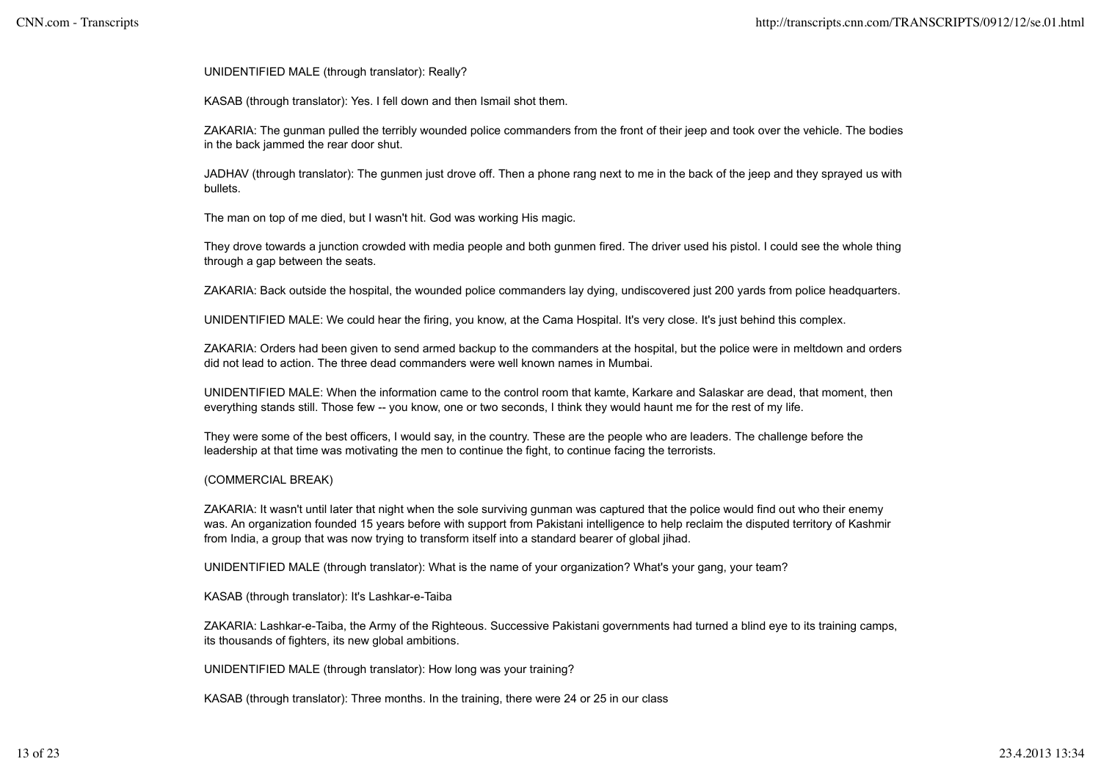UNIDENTIFIED MALE (through translator): Really?

KASAB (through translator): Yes. I fell down and then Ismail shot them.

ZAKARIA: The gunman pulled the terribly wounded police commanders from the front of their jeep and took over the vehicle. The bodies in the back jammed the rear door shut.

JADHAV (through translator): The gunmen just drove off. Then a phone rang next to me in the back of the jeep and they sprayed us with bullets.

The man on top of me died, but I wasn't hit. God was working His magic.

They drove towards a junction crowded with media people and both gunmen fired. The driver used his pistol. I could see the whole thing through a gap between the seats.

ZAKARIA: Back outside the hospital, the wounded police commanders lay dying, undiscovered just 200 yards from police headquarters.

UNIDENTIFIED MALE: We could hear the firing, you know, at the Cama Hospital. It's very close. It's just behind this complex.

ZAKARIA: Orders had been given to send armed backup to the commanders at the hospital, but the police were in meltdown and orders did not lead to action. The three dead commanders were well known names in Mumbai.

UNIDENTIFIED MALE: When the information came to the control room that kamte, Karkare and Salaskar are dead, that moment, then everything stands still. Those few -- you know, one or two seconds, I think they would haunt me for the rest of my life.

They were some of the best officers, I would say, in the country. These are the people who are leaders. The challenge before the leadership at that time was motivating the men to continue the fight, to continue facing the terrorists.

(COMMERCIAL BREAK)

ZAKARIA: It wasn't until later that night when the sole surviving gunman was captured that the police would find out who their enemy was. An organization founded 15 years before with support from Pakistani intelligence to help reclaim the disputed territory of Kashmir from India, a group that was now trying to transform itself into a standard bearer of global jihad.

UNIDENTIFIED MALE (through translator): What is the name of your organization? What's your gang, your team?

KASAB (through translator): It's Lashkar-e-Taiba

ZAKARIA: Lashkar-e-Taiba, the Army of the Righteous. Successive Pakistani governments had turned a blind eye to its training camps, its thousands of fighters, its new global ambitions.

UNIDENTIFIED MALE (through translator): How long was your training?

KASAB (through translator): Three months. In the training, there were 24 or 25 in our class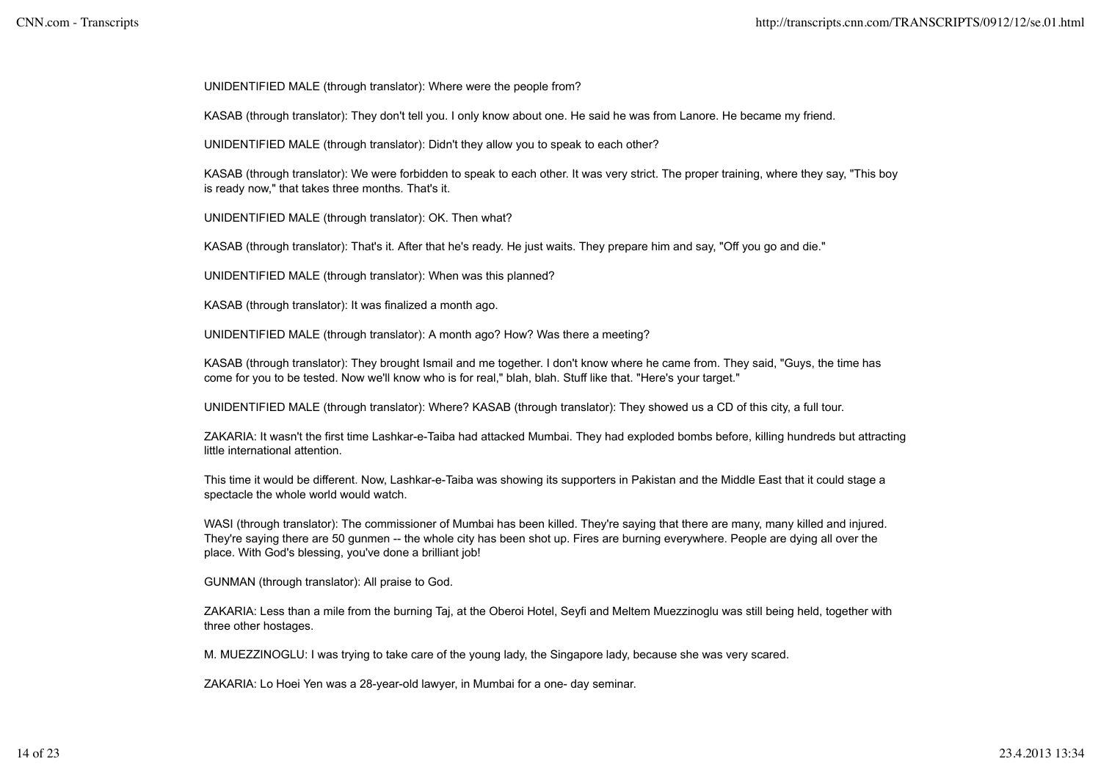UNIDENTIFIED MALE (through translator): Where were the people from?

KASAB (through translator): They don't tell you. I only know about one. He said he was from Lanore. He became my friend.

UNIDENTIFIED MALE (through translator): Didn't they allow you to speak to each other?

KASAB (through translator): We were forbidden to speak to each other. It was very strict. The proper training, where they say, "This boy is ready now," that takes three months. That's it.

UNIDENTIFIED MALE (through translator): OK. Then what?

KASAB (through translator): That's it. After that he's ready. He just waits. They prepare him and say, "Off you go and die."

UNIDENTIFIED MALE (through translator): When was this planned?

KASAB (through translator): It was finalized a month ago.

UNIDENTIFIED MALE (through translator): A month ago? How? Was there a meeting?

KASAB (through translator): They brought Ismail and me together. I don't know where he came from. They said, "Guys, the time has come for you to be tested. Now we'll know who is for real," blah, blah. Stuff like that. "Here's your target."

UNIDENTIFIED MALE (through translator): Where? KASAB (through translator): They showed us a CD of this city, a full tour.

ZAKARIA: It wasn't the first time Lashkar-e-Taiba had attacked Mumbai. They had exploded bombs before, killing hundreds but attracting little international attention.

This time it would be different. Now, Lashkar-e-Taiba was showing its supporters in Pakistan and the Middle East that it could stage a spectacle the whole world would watch.

WASI (through translator): The commissioner of Mumbai has been killed. They're saying that there are many, many killed and injured. They're saying there are 50 gunmen -- the whole city has been shot up. Fires are burning everywhere. People are dying all over the place. With God's blessing, you've done a brilliant job!

GUNMAN (through translator): All praise to God.

ZAKARIA: Less than a mile from the burning Taj, at the Oberoi Hotel, Seyfi and Meltem Muezzinoglu was still being held, together with three other hostages.

M. MUEZZINOGLU: I was trying to take care of the young lady, the Singapore lady, because she was very scared.

ZAKARIA: Lo Hoei Yen was a 28-year-old lawyer, in Mumbai for a one- day seminar.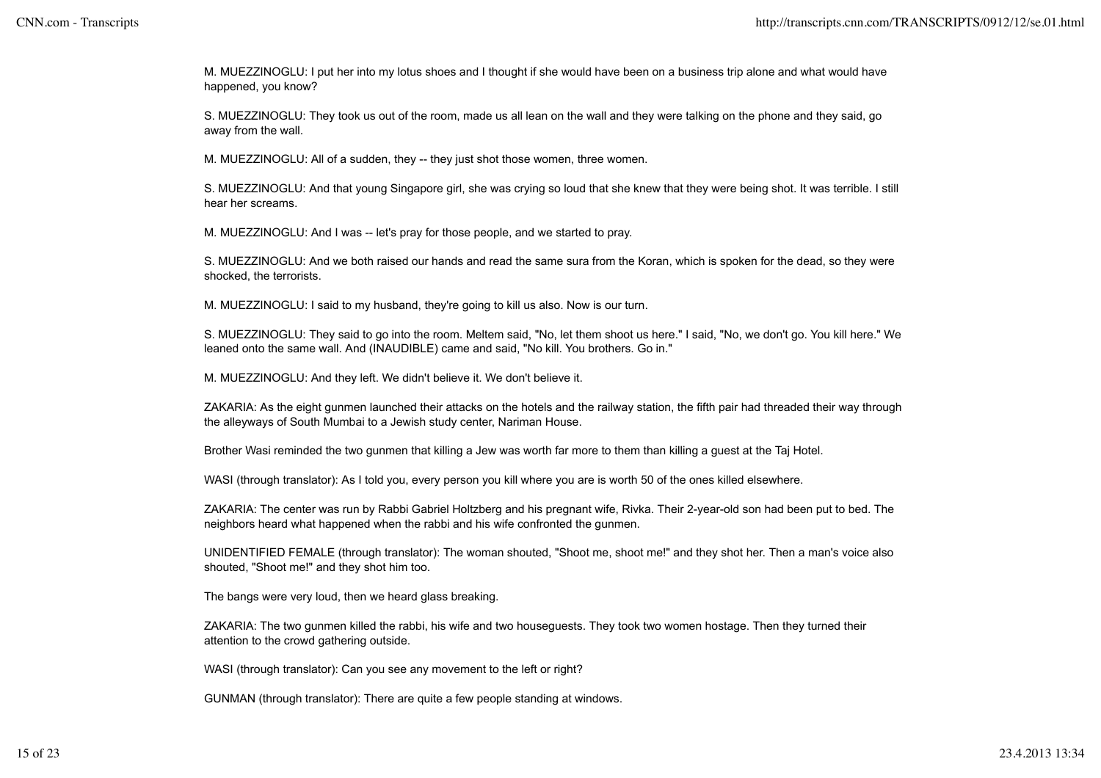M. MUEZZINOGLU: I put her into my lotus shoes and I thought if she would have been on a business trip alone and what would have happened, you know?

S. MUEZZINOGLU: They took us out of the room, made us all lean on the wall and they were talking on the phone and they said, go away from the wall.

M. MUEZZINOGLU: All of a sudden, they -- they just shot those women, three women.

S. MUEZZINOGLU: And that young Singapore girl, she was crying so loud that she knew that they were being shot. It was terrible. I still hear her screams.

M. MUEZZINOGLU: And I was -- let's pray for those people, and we started to pray.

S. MUEZZINOGLU: And we both raised our hands and read the same sura from the Koran, which is spoken for the dead, so they were shocked, the terrorists.

M. MUEZZINOGLU: I said to my husband, they're going to kill us also. Now is our turn.

S. MUEZZINOGLU: They said to go into the room. Meltem said, "No, let them shoot us here." I said, "No, we don't go. You kill here." We leaned onto the same wall. And (INAUDIBLE) came and said, "No kill. You brothers. Go in."

M. MUEZZINOGLU: And they left. We didn't believe it. We don't believe it.

ZAKARIA: As the eight gunmen launched their attacks on the hotels and the railway station, the fifth pair had threaded their way through the alleyways of South Mumbai to a Jewish study center, Nariman House.

Brother Wasi reminded the two gunmen that killing a Jew was worth far more to them than killing a guest at the Taj Hotel.

WASI (through translator): As I told you, every person you kill where you are is worth 50 of the ones killed elsewhere.

ZAKARIA: The center was run by Rabbi Gabriel Holtzberg and his pregnant wife, Rivka. Their 2-year-old son had been put to bed. The neighbors heard what happened when the rabbi and his wife confronted the gunmen.

UNIDENTIFIED FEMALE (through translator): The woman shouted, "Shoot me, shoot me!" and they shot her. Then a man's voice also shouted, "Shoot me!" and they shot him too.

The bangs were very loud, then we heard glass breaking.

ZAKARIA: The two gunmen killed the rabbi, his wife and two houseguests. They took two women hostage. Then they turned their attention to the crowd gathering outside.

WASI (through translator): Can you see any movement to the left or right?

GUNMAN (through translator): There are quite a few people standing at windows.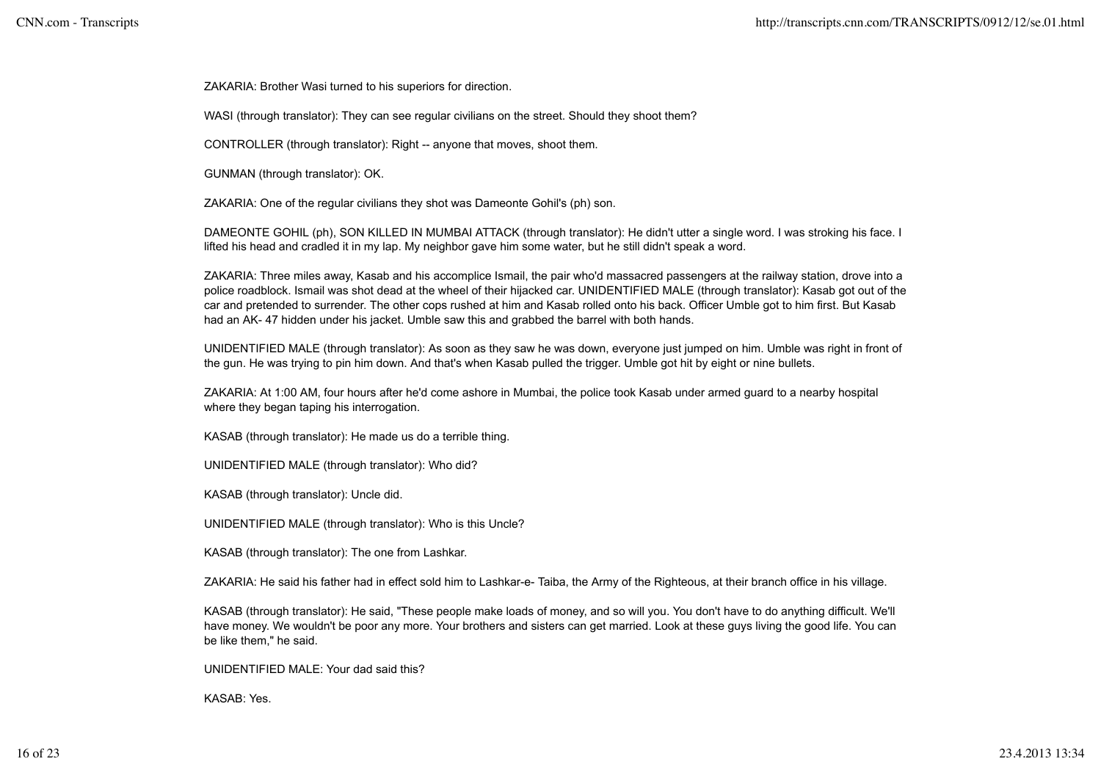ZAKARIA: Brother Wasi turned to his superiors for direction.

WASI (through translator): They can see regular civilians on the street. Should they shoot them?

CONTROLLER (through translator): Right -- anyone that moves, shoot them.

GUNMAN (through translator): OK.

ZAKARIA: One of the regular civilians they shot was Dameonte Gohil's (ph) son.

DAMEONTE GOHIL (ph), SON KILLED IN MUMBAI ATTACK (through translator): He didn't utter a single word. I was stroking his face. I lifted his head and cradled it in my lap. My neighbor gave him some water, but he still didn't speak a word.

ZAKARIA: Three miles away, Kasab and his accomplice Ismail, the pair who'd massacred passengers at the railway station, drove into a police roadblock. Ismail was shot dead at the wheel of their hijacked car. UNIDENTIFIED MALE (through translator): Kasab got out of the car and pretended to surrender. The other cops rushed at him and Kasab rolled onto his back. Officer Umble got to him first. But Kasab had an AK- 47 hidden under his jacket. Umble saw this and grabbed the barrel with both hands.

UNIDENTIFIED MALE (through translator): As soon as they saw he was down, everyone just jumped on him. Umble was right in front of the gun. He was trying to pin him down. And that's when Kasab pulled the trigger. Umble got hit by eight or nine bullets.

ZAKARIA: At 1:00 AM, four hours after he'd come ashore in Mumbai, the police took Kasab under armed guard to a nearby hospital where they began taping his interrogation.

KASAB (through translator): He made us do a terrible thing.

UNIDENTIFIED MALE (through translator): Who did?

KASAB (through translator): Uncle did.

UNIDENTIFIED MALE (through translator): Who is this Uncle?

KASAB (through translator): The one from Lashkar.

ZAKARIA: He said his father had in effect sold him to Lashkar-e- Taiba, the Army of the Righteous, at their branch office in his village.

KASAB (through translator): He said, "These people make loads of money, and so will you. You don't have to do anything difficult. We'll have money. We wouldn't be poor any more. Your brothers and sisters can get married. Look at these guys living the good life. You can be like them," he said.

UNIDENTIFIED MALE: Your dad said this?

KASAB: Yes.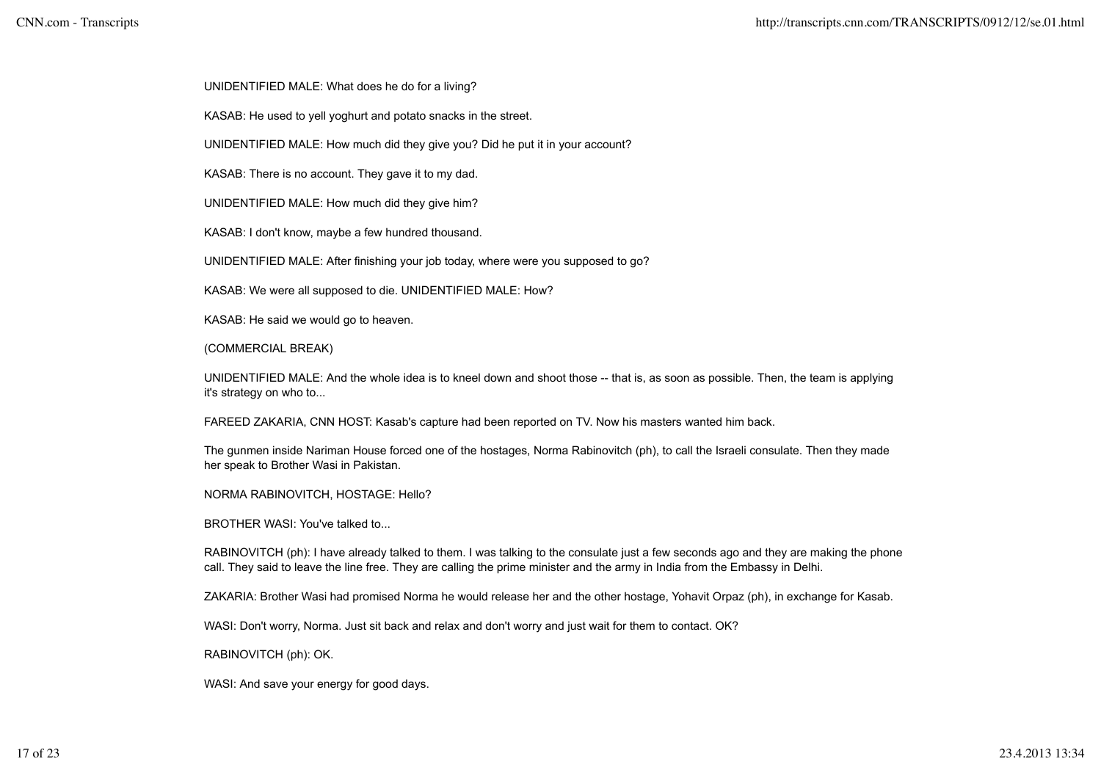UNIDENTIFIED MALE: What does he do for a living?

KASAB: He used to yell yoghurt and potato snacks in the street.

UNIDENTIFIED MALE: How much did they give you? Did he put it in your account?

KASAB: There is no account. They gave it to my dad.

UNIDENTIFIED MALE: How much did they give him?

KASAB: I don't know, maybe a few hundred thousand.

UNIDENTIFIED MALE: After finishing your job today, where were you supposed to go?

KASAB: We were all supposed to die. UNIDENTIFIED MALE: How?

KASAB: He said we would go to heaven.

(COMMERCIAL BREAK)

UNIDENTIFIED MALE: And the whole idea is to kneel down and shoot those -- that is, as soon as possible. Then, the team is applying it's strategy on who to...

FAREED ZAKARIA, CNN HOST: Kasab's capture had been reported on TV. Now his masters wanted him back.

The gunmen inside Nariman House forced one of the hostages, Norma Rabinovitch (ph), to call the Israeli consulate. Then they made her speak to Brother Wasi in Pakistan.

NORMA RABINOVITCH, HOSTAGE: Hello?

BROTHER WASI: You've talked to...

RABINOVITCH (ph): I have already talked to them. I was talking to the consulate just a few seconds ago and they are making the phone call. They said to leave the line free. They are calling the prime minister and the army in India from the Embassy in Delhi.

ZAKARIA: Brother Wasi had promised Norma he would release her and the other hostage, Yohavit Orpaz (ph), in exchange for Kasab.

WASI: Don't worry, Norma. Just sit back and relax and don't worry and just wait for them to contact. OK?

RABINOVITCH (ph): OK.

WASI: And save your energy for good days.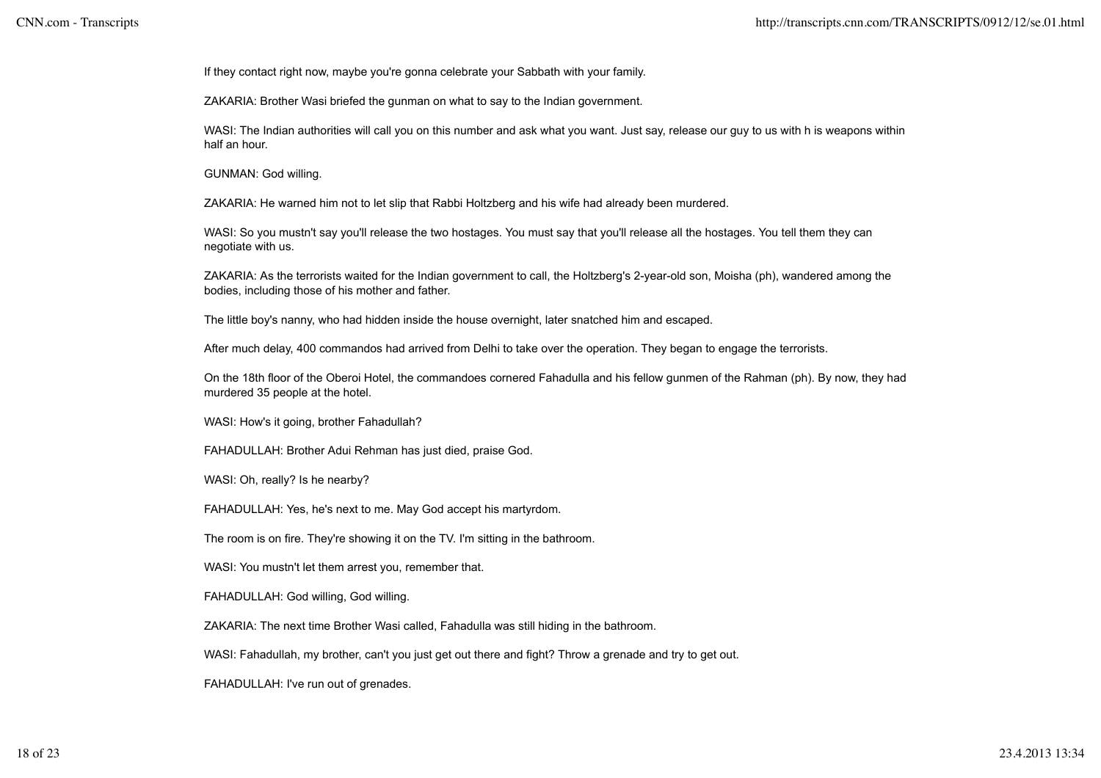If they contact right now, maybe you're gonna celebrate your Sabbath with your family.

ZAKARIA: Brother Wasi briefed the gunman on what to say to the Indian government.

WASI: The Indian authorities will call you on this number and ask what you want. Just say, release our guy to us with h is weapons within half an hour.

GUNMAN: God willing.

ZAKARIA: He warned him not to let slip that Rabbi Holtzberg and his wife had already been murdered.

WASI: So you mustn't say you'll release the two hostages. You must say that you'll release all the hostages. You tell them they can negotiate with us.

ZAKARIA: As the terrorists waited for the Indian government to call, the Holtzberg's 2-year-old son, Moisha (ph), wandered among the bodies, including those of his mother and father.

The little boy's nanny, who had hidden inside the house overnight, later snatched him and escaped.

After much delay, 400 commandos had arrived from Delhi to take over the operation. They began to engage the terrorists.

On the 18th floor of the Oberoi Hotel, the commandoes cornered Fahadulla and his fellow gunmen of the Rahman (ph). By now, they had murdered 35 people at the hotel.

WASI: How's it going, brother Fahadullah?

FAHADULLAH: Brother Adui Rehman has just died, praise God.

WASI: Oh, really? Is he nearby?

FAHADULLAH: Yes, he's next to me. May God accept his martyrdom.

The room is on fire. They're showing it on the TV. I'm sitting in the bathroom.

WASI: You mustn't let them arrest you, remember that.

FAHADULLAH: God willing, God willing.

ZAKARIA: The next time Brother Wasi called, Fahadulla was still hiding in the bathroom.

WASI: Fahadullah, my brother, can't you just get out there and fight? Throw a grenade and try to get out.

FAHADULLAH: I've run out of grenades.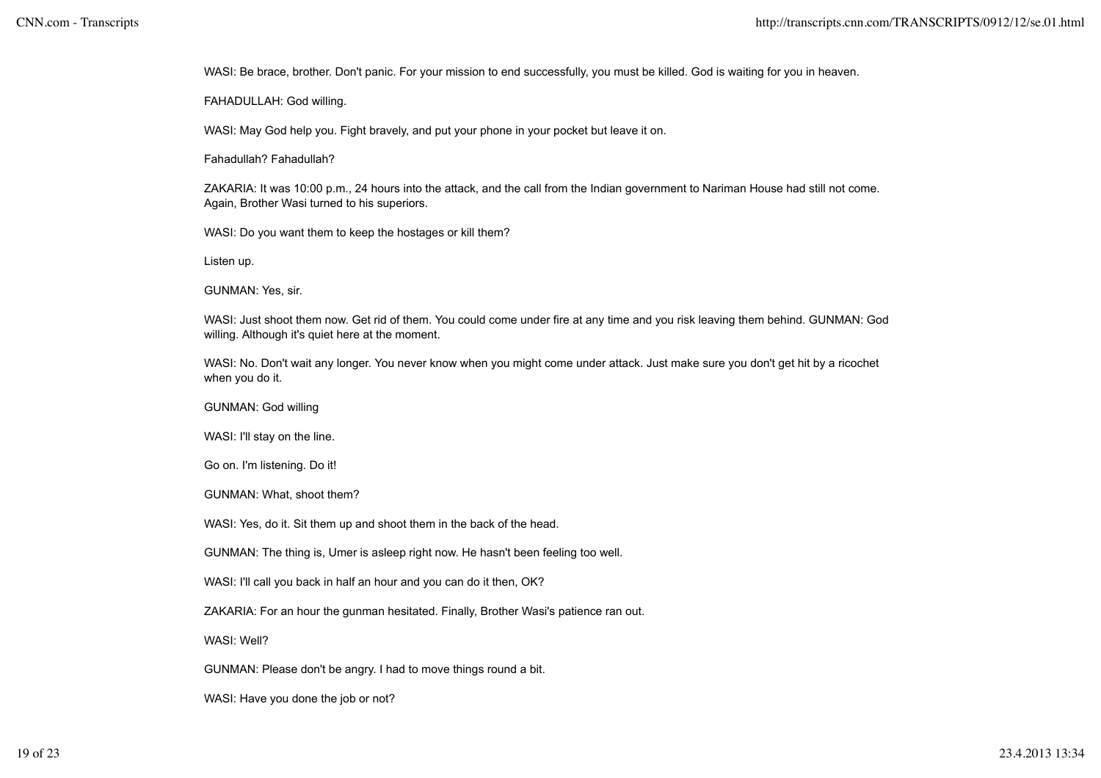WASI: Be brace, brother. Don't panic. For your mission to end successfully, you must be killed. God is waiting for you in heaven.

FAHADULLAH: God willing.

WASI: May God help you. Fight bravely, and put your phone in your pocket but leave it on.

Fahadullah? Fahadullah?

ZAKARIA: It was 10:00 p.m., 24 hours into the attack, and the call from the Indian government to Nariman House had still not come. Again, Brother Wasi turned to his superiors.

WASI: Do you want them to keep the hostages or kill them?

Listen up.

GUNMAN: Yes, sir.

WASI: Just shoot them now. Get rid of them. You could come under fire at any time and you risk leaving them behind. GUNMAN: God willing. Although it's quiet here at the moment.

WASI: No. Don't wait any longer. You never know when you might come under attack. Just make sure you don't get hit by a ricochet when you do it.

GUNMAN: God willing

WASI: I'll stay on the line.

Go on. I'm listening. Do it!

GUNMAN: What, shoot them?

WASI: Yes, do it. Sit them up and shoot them in the back of the head.

GUNMAN: The thing is, Umer is asleep right now. He hasn't been feeling too well.

WASI: I'll call you back in half an hour and you can do it then, OK?

ZAKARIA: For an hour the gunman hesitated. Finally, Brother Wasi's patience ran out.

WASI: Well?

GUNMAN: Please don't be angry. I had to move things round a bit.

WASI: Have you done the job or not?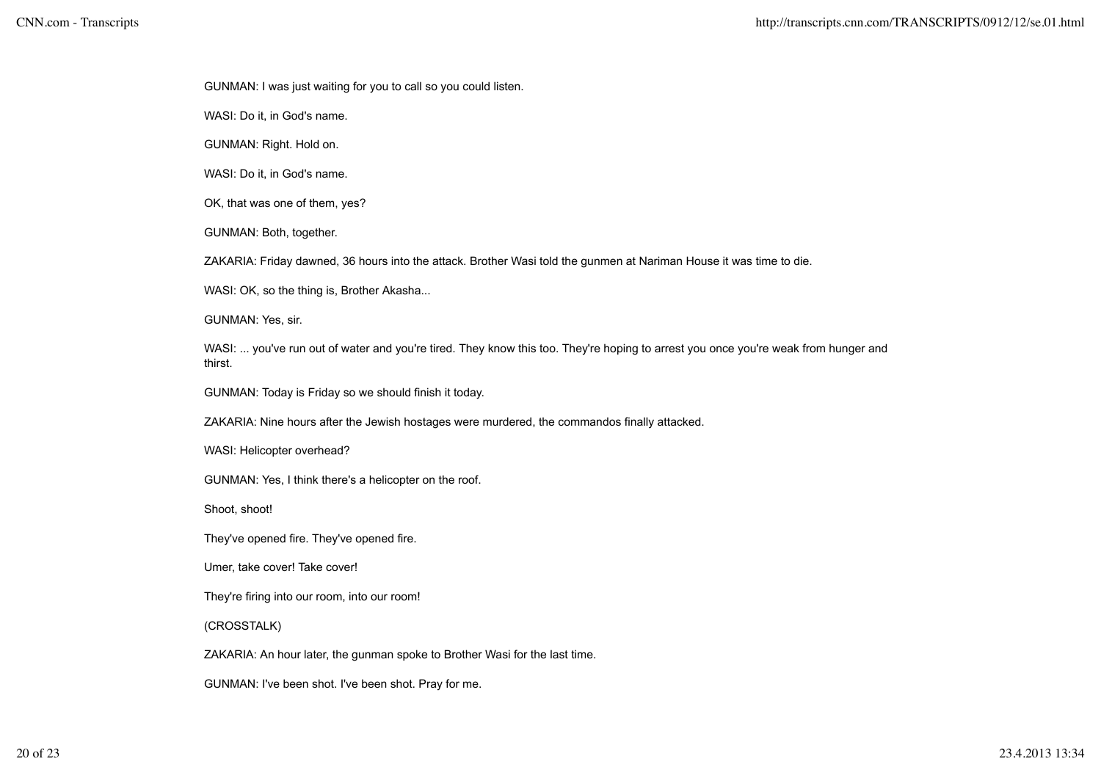GUNMAN: I was just waiting for you to call so you could listen.

WASI: Do it, in God's name.

GUNMAN: Right. Hold on.

WASI: Do it, in God's name.

OK, that was one of them, yes?

GUNMAN: Both, together.

ZAKARIA: Friday dawned, 36 hours into the attack. Brother Wasi told the gunmen at Nariman House it was time to die.

WASI: OK, so the thing is, Brother Akasha...

GUNMAN: Yes, sir.

WASI: ... you've run out of water and you're tired. They know this too. They're hoping to arrest you once you're weak from hunger and thirst.

GUNMAN: Today is Friday so we should finish it today.

ZAKARIA: Nine hours after the Jewish hostages were murdered, the commandos finally attacked.

WASI: Helicopter overhead?

GUNMAN: Yes, I think there's a helicopter on the roof.

Shoot, shoot!

They've opened fire. They've opened fire.

Umer, take cover! Take cover!

They're firing into our room, into our room!

(CROSSTALK)

ZAKARIA: An hour later, the gunman spoke to Brother Wasi for the last time.

GUNMAN: I've been shot. I've been shot. Pray for me.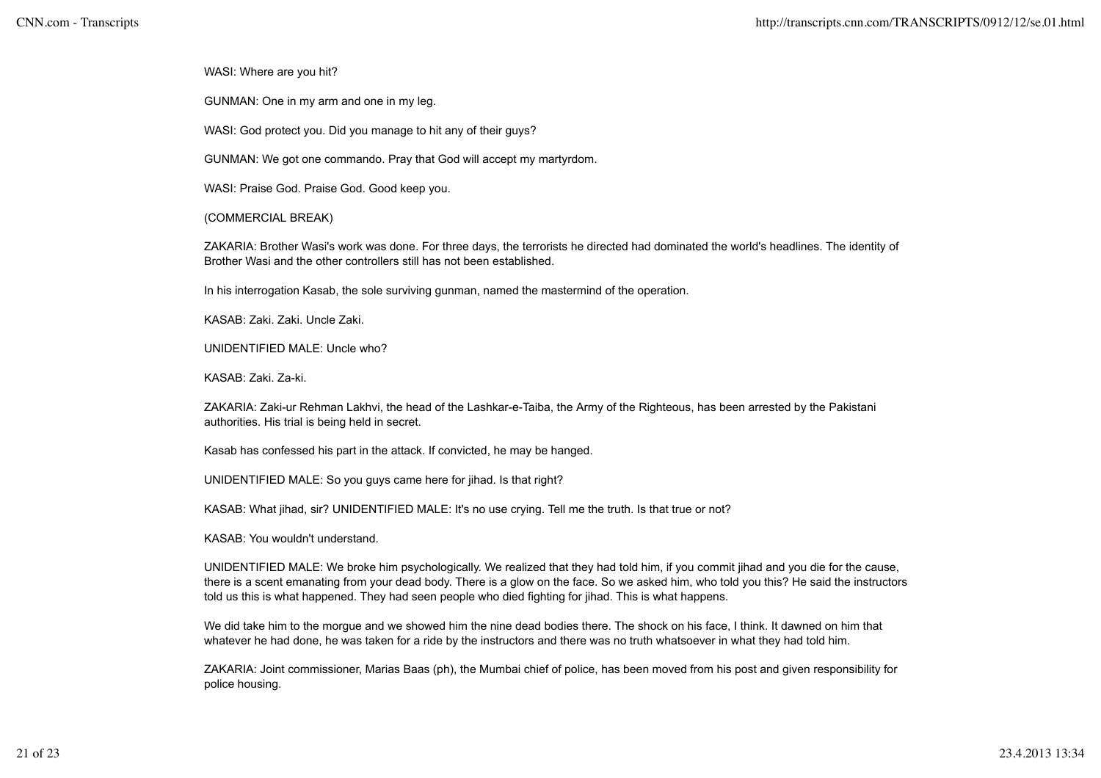WASI: Where are you hit?

GUNMAN: One in my arm and one in my leg.

WASI: God protect you. Did you manage to hit any of their guys?

GUNMAN: We got one commando. Pray that God will accept my martyrdom.

WASI: Praise God. Praise God. Good keep you.

(COMMERCIAL BREAK)

ZAKARIA: Brother Wasi's work was done. For three days, the terrorists he directed had dominated the world's headlines. The identity of Brother Wasi and the other controllers still has not been established.

In his interrogation Kasab, the sole surviving gunman, named the mastermind of the operation.

KASAB: Zaki. Zaki. Uncle Zaki.

UNIDENTIFIED MALE: Uncle who?

KASAB: Zaki. Za-ki.

ZAKARIA: Zaki-ur Rehman Lakhvi, the head of the Lashkar-e-Taiba, the Army of the Righteous, has been arrested by the Pakistani authorities. His trial is being held in secret.

Kasab has confessed his part in the attack. If convicted, he may be hanged.

UNIDENTIFIED MALE: So you guys came here for jihad. Is that right?

KASAB: What jihad, sir? UNIDENTIFIED MALE: It's no use crying. Tell me the truth. Is that true or not?

KASAB: You wouldn't understand.

UNIDENTIFIED MALE: We broke him psychologically. We realized that they had told him, if you commit jihad and you die for the cause, there is a scent emanating from your dead body. There is a glow on the face. So we asked him, who told you this? He said the instructors told us this is what happened. They had seen people who died fighting for jihad. This is what happens.

We did take him to the morgue and we showed him the nine dead bodies there. The shock on his face, I think. It dawned on him that whatever he had done, he was taken for a ride by the instructors and there was no truth whatsoever in what they had told him.

ZAKARIA: Joint commissioner, Marias Baas (ph), the Mumbai chief of police, has been moved from his post and given responsibility for police housing.